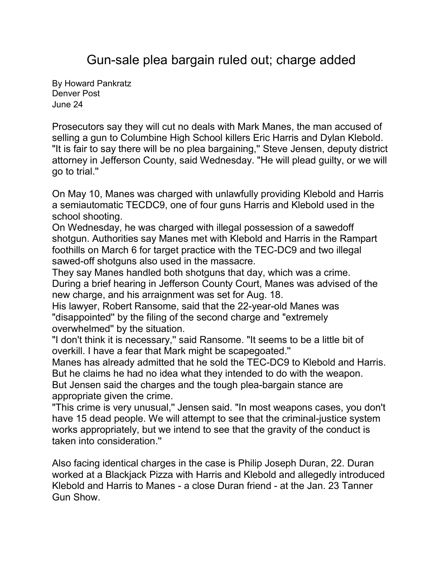Gun-sale plea bargain ruled out; charge added

By [Howard Pankratz](mailto:newsroom@denverpost.com) Denver Post June 24

Prosecutors say they will cut no deals with Mark Manes, the man accused of selling a gun to Columbine High School killers Eric Harris and Dylan Klebold. "It is fair to say there will be no plea bargaining," Steve Jensen, deputy district attorney in Jefferson County, said Wednesday. "He will plead guilty, or we will go to trial.''

On May 10, Manes was charged with unlawfully providing Klebold and Harris a semiautomatic TECDC9, one of four guns Harris and Klebold used in the school shooting.

On Wednesday, he was charged with illegal possession of a sawedoff shotgun. Authorities say Manes met with Klebold and Harris in the Rampart foothills on March 6 for target practice with the TEC-DC9 and two illegal sawed-off shotguns also used in the massacre.

They say Manes handled both shotguns that day, which was a crime. During a brief hearing in Jefferson County Court, Manes was advised of the new charge, and his arraignment was set for Aug. 18.

His lawyer, Robert Ransome, said that the 22-year-old Manes was "disappointed'' by the filing of the second charge and "extremely overwhelmed'' by the situation.

"I don't think it is necessary,'' said Ransome. "It seems to be a little bit of overkill. I have a fear that Mark might be scapegoated.''

Manes has already admitted that he sold the TEC-DC9 to Klebold and Harris. But he claims he had no idea what they intended to do with the weapon. But Jensen said the charges and the tough plea-bargain stance are appropriate given the crime.

"This crime is very unusual,'' Jensen said. "In most weapons cases, you don't have 15 dead people. We will attempt to see that the criminal-justice system works appropriately, but we intend to see that the gravity of the conduct is taken into consideration.''

Also facing identical charges in the case is Philip Joseph Duran, 22. Duran worked at a Blackjack Pizza with Harris and Klebold and allegedly introduced Klebold and Harris to Manes - a close Duran friend - at the Jan. 23 Tanner Gun Show.